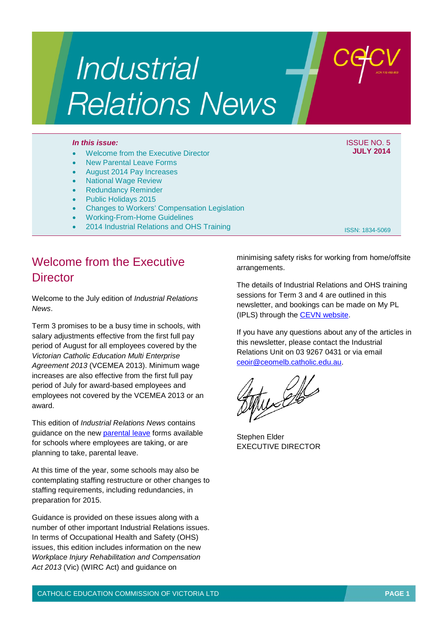# **Industrial Relations News**

#### *In this issue:* ISSUE NO. 5

#### • Welcome from the Executive Director

- New Parental Leave Forms
- August 2014 Pay Increases
- National Wage Review
- Redundancy Reminder
- Public Holidays 2015
- Changes to Workers' Compensation Legislation
- Working-From-Home Guidelines
- 2014 Industrial Relations and OHS Training

ISSN: 1834-5069

**JULY 2014**

## Welcome from the Executive **Director**

Welcome to the July edition of *Industrial Relations News*.

Term 3 promises to be a busy time in schools, with salary adjustments effective from the first full pay period of August for all employees covered by the *Victorian Catholic Education Multi Enterprise Agreement 2013* (VCEMEA 2013). Minimum wage increases are also effective from the first full pay period of July for award-based employees and employees not covered by the VCEMEA 2013 or an award.

This edition of *Industrial Relations News* contains guidance on the new [parental leave](http://www.cecv.catholic.edu.au/vcsa/parental_leave/parental_leave.html) forms available for schools where employees are taking, or are planning to take, parental leave.

At this time of the year, some schools may also be contemplating staffing restructure or other changes to staffing requirements, including redundancies, in preparation for 2015.

Guidance is provided on these issues along with a number of other important Industrial Relations issues. In terms of Occupational Health and Safety (OHS) issues, this edition includes information on the new *Workplace Injury Rehabilitation and Compensation Act 2013* (Vic) (WIRC Act) and guidance on

minimising safety risks for working from home/offsite arrangements.

The details of Industrial Relations and OHS training sessions for Term 3 and 4 are outlined in this newsletter, and bookings can be made on My PL (IPLS) through the [CEVN website.](http://cevn.cecv.catholic.edu.au/cevnlogin.aspx)

If you have any questions about any of the articles in this newsletter, please contact the Industrial Relations Unit on 03 9267 0431 or via email [ceoir@ceomelb.catholic.edu.au.](mailto:ceoir@ceomelb.catholic.edu.au)

Stephen Elder EXECUTIVE DIRECTOR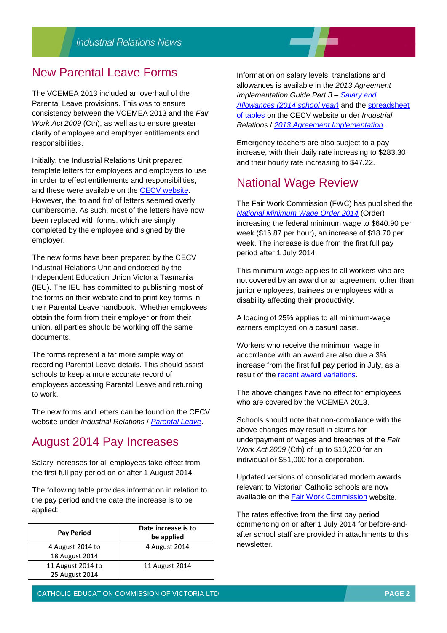#### New Parental Leave Forms

The VCEMEA 2013 included an overhaul of the Parental Leave provisions. This was to ensure consistency between the VCEMEA 2013 and the *Fair Work Act 2009* (Cth), as well as to ensure greater clarity of employee and employer entitlements and responsibilities.

Initially, the Industrial Relations Unit prepared template letters for employees and employers to use in order to effect entitlements and responsibilities, and these were available on the [CECV website.](http://www.cecv.catholic.edu.au/) However, the 'to and fro' of letters seemed overly cumbersome. As such, most of the letters have now been replaced with forms, which are simply completed by the employee and signed by the employer.

The new forms have been prepared by the CECV Industrial Relations Unit and endorsed by the Independent Education Union Victoria Tasmania (IEU). The IEU has committed to publishing most of the forms on their website and to print key forms in their Parental Leave handbook. Whether employees obtain the form from their employer or from their union, all parties should be working off the same documents.

The forms represent a far more simple way of recording Parental Leave details. This should assist schools to keep a more accurate record of employees accessing Parental Leave and returning to work.

The new forms and letters can be found on the CECV website under *Industrial Relations* / *[Parental Leave](http://www.cecv.catholic.edu.au/vcsa/parental_leave/parental_leave.html)*.

## August 2014 Pay Increases

Salary increases for all employees take effect from the first full pay period on or after 1 August 2014.

The following table provides information in relation to the pay period and the date the increase is to be applied:

| <b>Pay Period</b> | Date increase is to<br>be applied |  |
|-------------------|-----------------------------------|--|
| 4 August 2014 to  | 4 August 2014                     |  |
| 18 August 2014    |                                   |  |
| 11 August 2014 to | 11 August 2014                    |  |
| 25 August 2014    |                                   |  |

Information on salary levels, translations and allowances is available in the *2013 Agreement Implementation Guide Part 3 – [Salary and](http://web.cecv.catholic.edu.au/vcsa/Implementation_Guidelines/Part_3.pdf)  [Allowances \(2014 school year\)](http://web.cecv.catholic.edu.au/vcsa/Implementation_Guidelines/Part_3.pdf)* and the [spreadsheet](http://web.cecv.catholic.edu.au/vcsa/Implementation_Guidelines/2014_Implementation_tables.xls)  [of tables](http://web.cecv.catholic.edu.au/vcsa/Implementation_Guidelines/2014_Implementation_tables.xls) on the CECV website under *Industrial Relations* / *[2013 Agreement Implementation](http://www.cecv.catholic.edu.au/vcsa/Implementation_Guidelines/implementation_guides.htm)*.

Emergency teachers are also subject to a pay increase, with their daily rate increasing to \$283.30 and their hourly rate increasing to \$47.22.

### National Wage Review

The Fair Work Commission (FWC) has published the *[National Minimum Wage Order 2014](https://www.fwc.gov.au/documents/sites/wagereview2014/decisions/c20141_order.pdf)* (Order) increasing the federal minimum wage to \$640.90 per week (\$16.87 per hour), an increase of \$18.70 per week. The increase is due from the first full pay period after 1 July 2014.

This minimum wage applies to all workers who are not covered by an award or an agreement, other than junior employees, trainees or employees with a disability affecting their productivity.

A loading of 25% applies to all minimum-wage earners employed on a casual basis.

Workers who receive the minimum wage in accordance with an award are also due a 3% increase from the first full pay period in July, as a result of the [recent award variations.](https://www.fwc.gov.au/awards-and-agreements/awards/recent-award-variations)

The above changes have no effect for employees who are covered by the VCEMEA 2013.

Schools should note that non-compliance with the above changes may result in claims for underpayment of wages and breaches of the *Fair Work Act 2009* (Cth) of up to \$10,200 for an individual or \$51,000 for a corporation.

Updated versions of consolidated modern awards relevant to Victorian Catholic schools are now available on the [Fair Work Commission](https://www.fwc.gov.au/awards-and-agreements/awards/find-award) website.

The rates effective from the first pay period commencing on or after 1 July 2014 for before-andafter school staff are provided in attachments to this newsletter.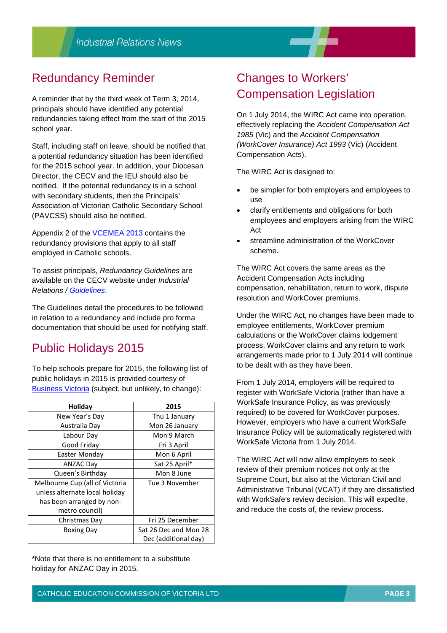# Redundancy Reminder

A reminder that by the third week of Term 3, 2014, principals should have identified any potential redundancies taking effect from the start of the 2015 school year.

Staff, including staff on leave, should be notified that a potential redundancy situation has been identified for the 2015 school year. In addition, your Diocesan Director, the CECV and the IEU should also be notified. If the potential redundancy is in a school with secondary students, then the Principals' Association of Victorian Catholic Secondary School (PAVCSS) should also be notified.

Appendix 2 of the [VCEMEA 2013](http://web.cecv.catholic.edu.au/vcsa/Agreement_2013/VCEMEA_2013.pdf) contains the redundancy provisions that apply to all staff employed in Catholic schools.

To assist principals, *Redundancy Guidelines* are available on the CECV website under *Industrial Relations / [Guidelines](http://web.cecv.catholic.edu.au/vcsa/guidelines/guideindex.htm)*.

The Guidelines detail the procedures to be followed in relation to a redundancy and include pro forma documentation that should be used for notifying staff.

# Public Holidays 2015

To help schools prepare for 2015, the following list of public holidays in 2015 is provided courtesy of [Business Victoria](http://www.business.vic.gov.au/victorian-public-holidays-and-daylight-saving/victorian-public-holidays) (subject, but unlikely, to change):

| Holiday                        | 2015                  |  |
|--------------------------------|-----------------------|--|
| New Year's Day                 | Thu 1 January         |  |
| Australia Day                  | Mon 26 January        |  |
| Labour Day                     | Mon 9 March           |  |
| Good Friday                    | Fri 3 April           |  |
| Easter Monday                  | Mon 6 April           |  |
| <b>ANZAC Day</b>               | Sat 25 April*         |  |
| Queen's Birthday               | Mon 8 June            |  |
| Melbourne Cup (all of Victoria | Tue 3 November        |  |
| unless alternate local holiday |                       |  |
| has been arranged by non-      |                       |  |
| metro council)                 |                       |  |
| Christmas Day                  | Fri 25 December       |  |
| <b>Boxing Day</b>              | Sat 26 Dec and Mon 28 |  |
|                                | Dec (additional day)  |  |

\*Note that there is no entitlement to a substitute holiday for ANZAC Day in 2015.

## Changes to Workers' Compensation Legislation

On 1 July 2014, the WIRC Act came into operation, effectively replacing the *Accident Compensation Act 1985* (Vic) and the *Accident Compensation (WorkCover Insurance) Act 1993* (Vic) (Accident Compensation Acts).

The WIRC Act is designed to:

- be simpler for both employers and employees to use
- clarify entitlements and obligations for both employees and employers arising from the WIRC Act
- streamline administration of the WorkCover scheme.

The WIRC Act covers the same areas as the Accident Compensation Acts including compensation, rehabilitation, return to work, dispute resolution and WorkCover premiums.

Under the WIRC Act, no changes have been made to employee entitlements, WorkCover premium calculations or the WorkCover claims lodgement process. WorkCover claims and any return to work arrangements made prior to 1 July 2014 will continue to be dealt with as they have been.

From 1 July 2014, employers will be required to register with WorkSafe Victoria (rather than have a WorkSafe Insurance Policy, as was previously required) to be covered for WorkCover purposes. However, employers who have a current WorkSafe Insurance Policy will be automatically registered with WorkSafe Victoria from 1 July 2014.

The WIRC Act will now allow employers to seek review of their premium notices not only at the Supreme Court, but also at the Victorian Civil and Administrative Tribunal (VCAT) if they are dissatisfied with WorkSafe's review decision. This will expedite, and reduce the costs of, the review process.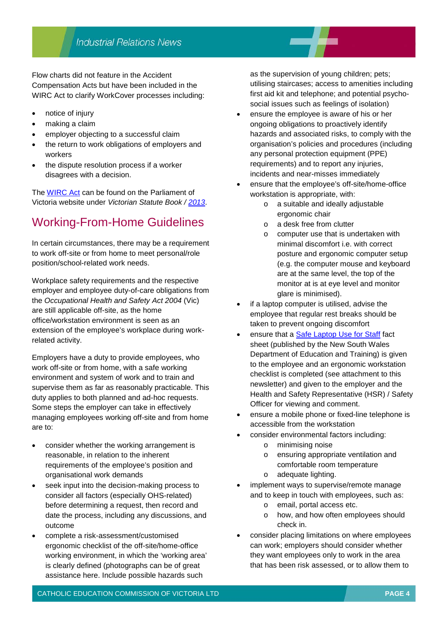Flow charts did not feature in the Accident Compensation Acts but have been included in the WIRC Act to clarify WorkCover processes including:

- notice of injury
- making a claim
- employer objecting to a successful claim
- the return to work obligations of employers and workers
- the dispute resolution process if a worker disagrees with a decision.

The [WIRC Act](http://www.legislation.vic.gov.au/Domino/Web_Notes/LDMS/PubStatbook.nsf/f932b66241ecf1b7ca256e92000e23be/3629925065CDB2A6CA257C210015979B/$FILE/13-067a%20authorised.pdf) can be found on the Parliament of Victoria website under *Victorian Statute Book / [2013](http://www.legislation.vic.gov.au/Domino/Web_Notes/LDMS/PubStatbook.nsf/f932b66241ecf1b7ca256e92000e23be/3629925065cdb2a6ca257c210015979b!OpenDocument)*.

# Working-From-Home Guidelines

In certain circumstances, there may be a requirement to work off-site or from home to meet personal/role position/school-related work needs.

Workplace safety requirements and the respective employer and employee duty-of-care obligations from the *Occupational Health and Safety Act 2004* (Vic) are still applicable off-site, as the home office/workstation environment is seen as an extension of the employee's workplace during workrelated activity.

Employers have a duty to provide employees, who work off-site or from home, with a safe working environment and system of work and to train and supervise them as far as reasonably practicable. This duty applies to both planned and ad-hoc requests. Some steps the employer can take in effectively managing employees working off-site and from home are to:

- consider whether the working arrangement is reasonable, in relation to the inherent requirements of the employee's position and organisational work demands
- seek input into the decision-making process to consider all factors (especially OHS-related) before determining a request, then record and date the process, including any discussions, and outcome
- complete a risk-assessment/customised ergonomic checklist of the off-site/home-office working environment, in which the 'working area' is clearly defined (photographs can be of great assistance here. Include possible hazards such

as the supervision of young children; pets; utilising staircases; access to amenities including first aid kit and telephone; and potential psychosocial issues such as feelings of isolation)

- ensure the employee is aware of his or her ongoing obligations to proactively identify hazards and associated risks, to comply with the organisation's policies and procedures (including any personal protection equipment (PPE) requirements) and to report any injuries, incidents and near-misses immediately
- ensure that the employee's off-site/home-office workstation is appropriate, with:
	- o a suitable and ideally adjustable ergonomic chair
	- o a desk free from clutter
	- o computer use that is undertaken with minimal discomfort i.e. with correct posture and ergonomic computer setup (e.g. the computer mouse and keyboard are at the same level, the top of the monitor at is at eye level and monitor glare is minimised).
- if a laptop computer is utilised, advise the employee that regular rest breaks should be taken to prevent ongoing discomfort
- ensure that a [Safe Laptop Use for Staff](http://www.curriculumsupport.education.nsw.gov.au/digital_rev/ohs/assets/laptopstaff.pdf) fact sheet (published by the New South Wales Department of Education and Training) is given to the employee and an ergonomic workstation checklist is completed (see attachment to this newsletter) and given to the employer and the Health and Safety Representative (HSR) / Safety Officer for viewing and comment.
- ensure a mobile phone or fixed-line telephone is accessible from the workstation
- consider environmental factors including:
	- o minimising noise
	- o ensuring appropriate ventilation and comfortable room temperature
	- o adequate lighting.
- implement ways to supervise/remote manage and to keep in touch with employees, such as:
	- o email, portal access etc.
	- o how, and how often employees should check in.
- consider placing limitations on where employees can work; employers should consider whether they want employees only to work in the area that has been risk assessed, or to allow them to